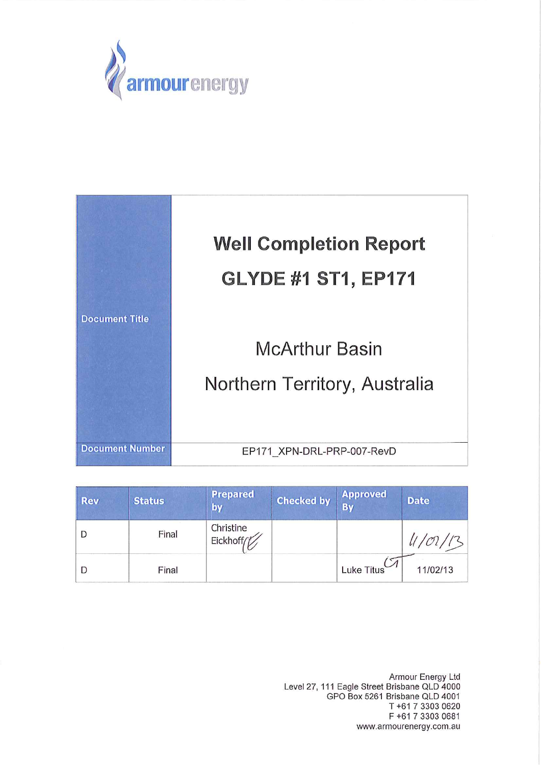



| <b>Rev</b> | <b>Status</b> | <b>Prepared</b><br>by  | <b>Checked by</b> | <b>Approved</b><br>By | <b>Date</b> |
|------------|---------------|------------------------|-------------------|-----------------------|-------------|
|            | Final         | Christine<br>Eickhoff/ |                   |                       |             |
|            | Final         |                        |                   | Luke Titus            | 11/02/13    |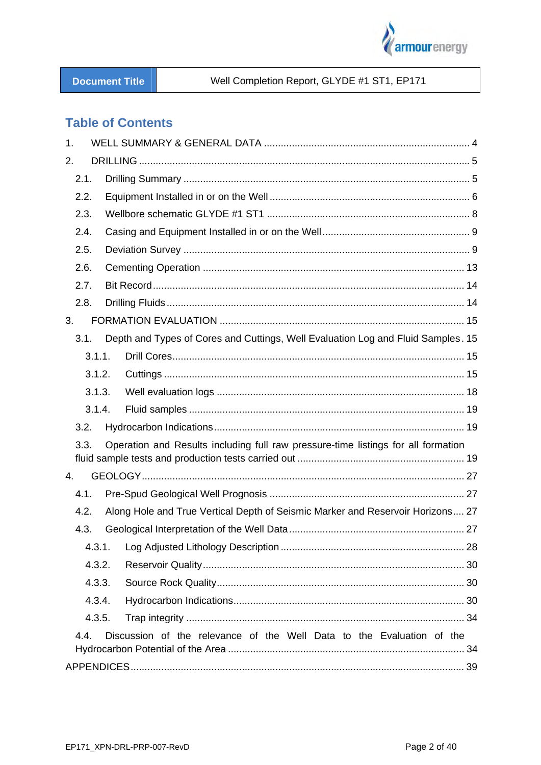

#### Well Completion Report, GLYDE #1 ST1, EP171

### **Table of Contents**

| 1.     |                                                                                   |  |
|--------|-----------------------------------------------------------------------------------|--|
| 2.     |                                                                                   |  |
| 2.1.   |                                                                                   |  |
| 2.2.   |                                                                                   |  |
| 2.3.   |                                                                                   |  |
| 2.4.   |                                                                                   |  |
| 2.5.   |                                                                                   |  |
| 2.6.   |                                                                                   |  |
| 2.7.   |                                                                                   |  |
| 2.8.   |                                                                                   |  |
| 3.     |                                                                                   |  |
| 3.1.   | Depth and Types of Cores and Cuttings, Well Evaluation Log and Fluid Samples. 15  |  |
| 3.1.1. |                                                                                   |  |
| 3.1.2. |                                                                                   |  |
| 3.1.3. |                                                                                   |  |
| 3.1.4. |                                                                                   |  |
| 3.2.   |                                                                                   |  |
| 3.3.   | Operation and Results including full raw pressure-time listings for all formation |  |
| 4.     |                                                                                   |  |
| 4.1.   |                                                                                   |  |
| 4.2.   | Along Hole and True Vertical Depth of Seismic Marker and Reservoir Horizons 27    |  |
| 4.3.   |                                                                                   |  |
| 4.3.1. |                                                                                   |  |
| 4.3.2. |                                                                                   |  |
| 4.3.3. |                                                                                   |  |
| 4.3.4. |                                                                                   |  |
| 4.3.5. |                                                                                   |  |
| 4.4.   | Discussion of the relevance of the Well Data to the Evaluation of the             |  |
|        |                                                                                   |  |